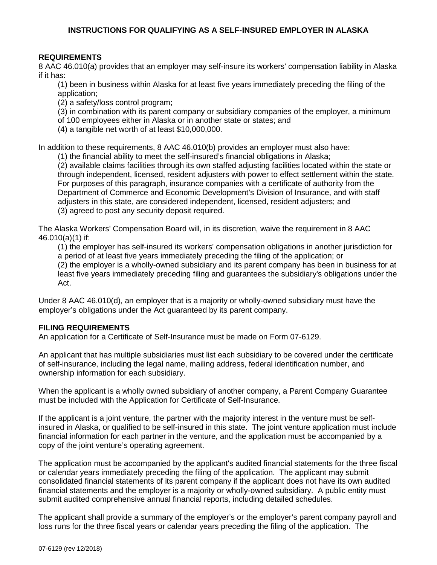### **REQUIREMENTS**

8 AAC 46.010(a) provides that an employer may self-insure its workers' compensation liability in Alaska if it has:

(1) been in business within Alaska for at least five years immediately preceding the filing of the application;

(2) a safety/loss control program;

(3) in combination with its parent company or subsidiary companies of the employer, a minimum

of 100 employees either in Alaska or in another state or states; and

(4) a tangible net worth of at least \$10,000,000.

In addition to these requirements, 8 AAC 46.010(b) provides an employer must also have:

(1) the financial ability to meet the self-insured's financial obligations in Alaska;

(2) available claims facilities through its own staffed adjusting facilities located within the state or through independent, licensed, resident adjusters with power to effect settlement within the state. For purposes of this paragraph, insurance companies with a certificate of authority from the Department of Commerce and Economic Development's Division of Insurance, and with staff adjusters in this state, are considered independent, licensed, resident adjusters; and (3) agreed to post any security deposit required.

The Alaska Workers' Compensation Board will, in its discretion, waive the requirement in 8 AAC 46.010(a)(1) if:

(1) the employer has self-insured its workers' compensation obligations in another jurisdiction for a period of at least five years immediately preceding the filing of the application; or

(2) the employer is a wholly-owned subsidiary and its parent company has been in business for at least five years immediately preceding filing and guarantees the subsidiary's obligations under the Act.

Under 8 AAC 46.010(d), an employer that is a majority or wholly-owned subsidiary must have the employer's obligations under the Act guaranteed by its parent company.

#### **FILING REQUIREMENTS**

An application for a Certificate of Self-Insurance must be made on Form 07-6129.

An applicant that has multiple subsidiaries must list each subsidiary to be covered under the certificate of self-insurance, including the legal name, mailing address, federal identification number, and ownership information for each subsidiary.

When the applicant is a wholly owned subsidiary of another company, a Parent Company Guarantee must be included with the Application for Certificate of Self-Insurance.

If the applicant is a joint venture, the partner with the majority interest in the venture must be selfinsured in Alaska, or qualified to be self-insured in this state. The joint venture application must include financial information for each partner in the venture, and the application must be accompanied by a copy of the joint venture's operating agreement.

The application must be accompanied by the applicant's audited financial statements for the three fiscal or calendar years immediately preceding the filing of the application. The applicant may submit consolidated financial statements of its parent company if the applicant does not have its own audited financial statements and the employer is a majority or wholly-owned subsidiary. A public entity must submit audited comprehensive annual financial reports, including detailed schedules.

The applicant shall provide a summary of the employer's or the employer's parent company payroll and loss runs for the three fiscal years or calendar years preceding the filing of the application. The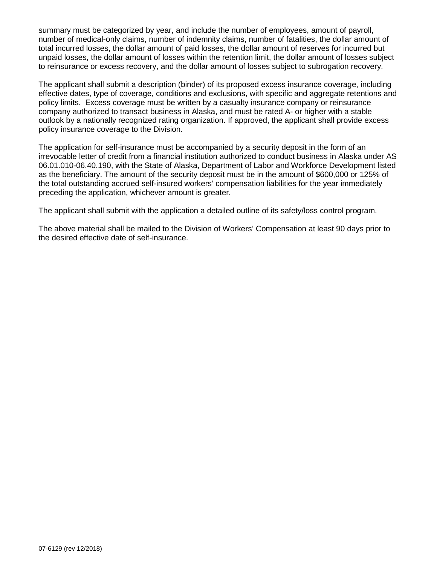summary must be categorized by year, and include the number of employees, amount of payroll, number of medical-only claims, number of indemnity claims, number of fatalities, the dollar amount of total incurred losses, the dollar amount of paid losses, the dollar amount of reserves for incurred but unpaid losses, the dollar amount of losses within the retention limit, the dollar amount of losses subject to reinsurance or excess recovery, and the dollar amount of losses subject to subrogation recovery.

The applicant shall submit a description (binder) of its proposed excess insurance coverage, including effective dates, type of coverage, conditions and exclusions, with specific and aggregate retentions and policy limits. Excess coverage must be written by a casualty insurance company or reinsurance company authorized to transact business in Alaska, and must be rated A- or higher with a stable outlook by a nationally recognized rating organization. If approved, the applicant shall provide excess policy insurance coverage to the Division.

The application for self-insurance must be accompanied by a security deposit in the form of an irrevocable letter of credit from a financial institution authorized to conduct business in Alaska under AS 06.01.010-06.40.190, with the State of Alaska, Department of Labor and Workforce Development listed as the beneficiary. The amount of the security deposit must be in the amount of \$600,000 or 125% of the total outstanding accrued self-insured workers' compensation liabilities for the year immediately preceding the application, whichever amount is greater.

The applicant shall submit with the application a detailed outline of its safety/loss control program.

The above material shall be mailed to the Division of Workers' Compensation at least 90 days prior to the desired effective date of self-insurance.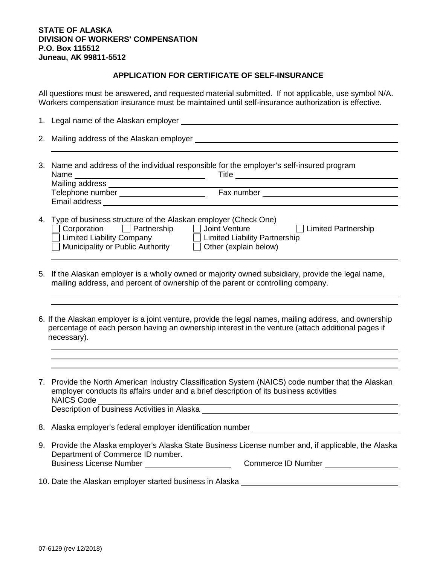#### **STATE OF ALASKA DIVISION OF WORKERS' COMPENSATION P.O. Box 115512 Juneau, AK 99811-5512**

## **APPLICATION FOR CERTIFICATE OF SELF-INSURANCE**

All questions must be answered, and requested material submitted. If not applicable, use symbol N/A. Workers compensation insurance must be maintained until self-insurance authorization is effective.

- 1. Legal name of the Alaskan employer
- 2. Mailing address of the Alaskan employer
- 3. Name and address of the individual responsible for the employer's self-insured program Name Title Mailing address Telephone number Telephone number Fax number Email address 4. Type of business structure of the Alaskan employer (Check One)
- ◯ Corporation Q Partnership Q Joint Venture Q Limited Partnership Q Limited Partnership<br>
Q Limited Liability Company Q Limited Liability Partnership Limited Liability Company Limited Liability Partnership Municipality or Public Authority  $\Box$  Other (explain below)
- 5. If the Alaskan employer is a wholly owned or majority owned subsidiary, provide the legal name, mailing address, and percent of ownership of the parent or controlling company.
- 6. If the Alaskan employer is a joint venture, provide the legal names, mailing address, and ownership percentage of each person having an ownership interest in the venture (attach additional pages if necessary).
- 7. Provide the North American Industry Classification System (NAICS) code number that the Alaskan employer conducts its affairs under and a brief description of its business activities NAICS Code Description of business Activities in Alaska **Description of the Structure of Alaska** 8. Alaska employer's federal employer identification number
- 9. Provide the Alaska employer's Alaska State Business License number and, if applicable, the Alaska Department of Commerce ID number. Business License Number Commerce ID Number
- 10. Date the Alaskan employer started business in Alaska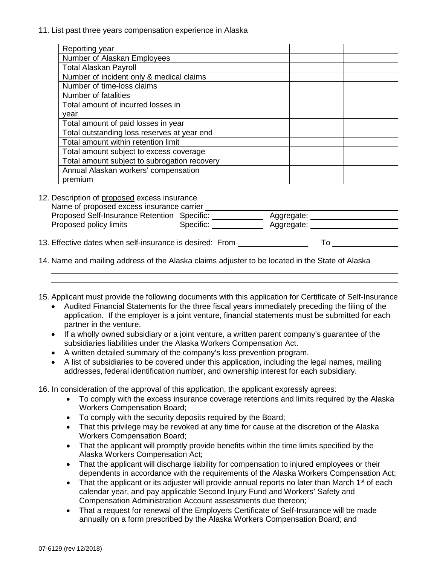11. List past three years compensation experience in Alaska

| Reporting year                               |  |
|----------------------------------------------|--|
| Number of Alaskan Employees                  |  |
| <b>Total Alaskan Payroll</b>                 |  |
| Number of incident only & medical claims     |  |
| Number of time-loss claims                   |  |
| Number of fatalities                         |  |
| Total amount of incurred losses in           |  |
| year                                         |  |
| Total amount of paid losses in year          |  |
| Total outstanding loss reserves at year end  |  |
| Total amount within retention limit          |  |
| Total amount subject to excess coverage      |  |
| Total amount subject to subrogation recovery |  |
| Annual Alaskan workers' compensation         |  |
| premium                                      |  |

12. Description of proposed excess insurance<br>Name of proposed excess insurance carrier Name of proposed excess insurance carrier Proposed Self-Insurance Retention Specific: \_\_\_\_\_\_\_\_\_\_\_\_\_ Aggregate: Proposed policy limits **Specific:** Specific: Aggregate: 13. Effective dates when self-insurance is desired: From To

- 14. Name and mailing address of the Alaska claims adjuster to be located in the State of Alaska
- 15. Applicant must provide the following documents with this application for Certificate of Self-Insurance
	- Audited Financial Statements for the three fiscal years immediately preceding the filing of the application. If the employer is a joint venture, financial statements must be submitted for each partner in the venture.
	- If a wholly owned subsidiary or a joint venture, a written parent company's guarantee of the subsidiaries liabilities under the Alaska Workers Compensation Act.
	- A written detailed summary of the company's loss prevention program.
	- A list of subsidiaries to be covered under this application, including the legal names, mailing addresses, federal identification number, and ownership interest for each subsidiary.

16. In consideration of the approval of this application, the applicant expressly agrees:

- To comply with the excess insurance coverage retentions and limits required by the Alaska Workers Compensation Board;
- To comply with the security deposits required by the Board;
- That this privilege may be revoked at any time for cause at the discretion of the Alaska Workers Compensation Board;
- That the applicant will promptly provide benefits within the time limits specified by the Alaska Workers Compensation Act;
- That the applicant will discharge liability for compensation to injured employees or their dependents in accordance with the requirements of the Alaska Workers Compensation Act;
- That the applicant or its adjuster will provide annual reports no later than March  $1<sup>st</sup>$  of each calendar year, and pay applicable Second Injury Fund and Workers' Safety and Compensation Administration Account assessments due thereon;
- That a request for renewal of the Employers Certificate of Self-Insurance will be made annually on a form prescribed by the Alaska Workers Compensation Board; and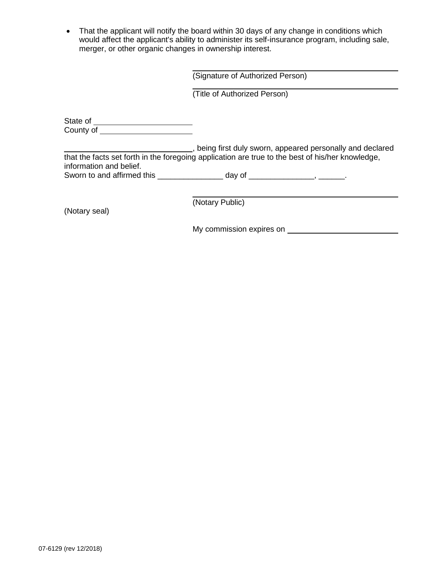• That the applicant will notify the board within 30 days of any change in conditions which would affect the applicant's ability to administer its self-insurance program, including sale, merger, or other organic changes in ownership interest.

(Title of Authorized Person)

State of County of

**Fig. 2.1**, being first duly sworn, appeared personally and declared that the facts set forth in the foregoing application are true to the best of his/her knowledge, information and belief. Sworn to and affirmed this \_\_\_\_\_\_\_\_\_\_\_\_\_\_\_\_ day of \_\_\_\_\_\_\_\_\_\_\_\_\_\_\_\_, \_\_\_\_\_\_\_.

(Notary seal)

(Notary Public)

My commission expires on